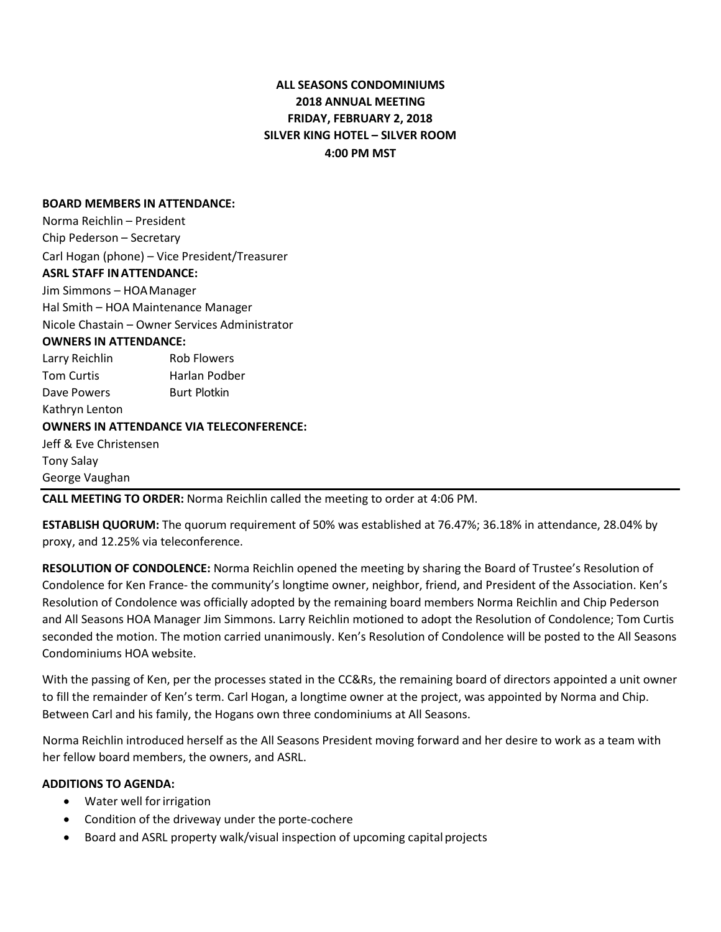# **ALL SEASONS CONDOMINIUMS 2018 ANNUAL MEETING FRIDAY, FEBRUARY 2, 2018 SILVER KING HOTEL – SILVER ROOM 4:00 PM MST**

#### **BOARD MEMBERS IN ATTENDANCE:**

Norma Reichlin – President Chip Pederson – Secretary Carl Hogan (phone) – Vice President/Treasurer **ASRL STAFF INATTENDANCE:** Jim Simmons – HOAManager Hal Smith – HOA Maintenance Manager Nicole Chastain – Owner Services Administrator **OWNERS IN ATTENDANCE:** Larry Reichlin Rob Flowers Tom Curtis **Harlan Podber** Dave Powers Burt Plotkin Kathryn Lenton **OWNERS IN ATTENDANCE VIA TELECONFERENCE:** Jeff & Eve Christensen Tony Salay George Vaughan

**CALL MEETING TO ORDER:** Norma Reichlin called the meeting to order at 4:06 PM.

**ESTABLISH QUORUM:** The quorum requirement of 50% was established at 76.47%; 36.18% in attendance, 28.04% by proxy, and 12.25% via teleconference.

**RESOLUTION OF CONDOLENCE:** Norma Reichlin opened the meeting by sharing the Board of Trustee's Resolution of Condolence for Ken France- the community's longtime owner, neighbor, friend, and President of the Association. Ken's Resolution of Condolence was officially adopted by the remaining board members Norma Reichlin and Chip Pederson and All Seasons HOA Manager Jim Simmons. Larry Reichlin motioned to adopt the Resolution of Condolence; Tom Curtis seconded the motion. The motion carried unanimously. Ken's Resolution of Condolence will be posted to the All Seasons Condominiums HOA website.

With the passing of Ken, per the processes stated in the CC&Rs, the remaining board of directors appointed a unit owner to fill the remainder of Ken's term. Carl Hogan, a longtime owner at the project, was appointed by Norma and Chip. Between Carl and his family, the Hogans own three condominiums at All Seasons.

Norma Reichlin introduced herself as the All Seasons President moving forward and her desire to work as a team with her fellow board members, the owners, and ASRL.

# **ADDITIONS TO AGENDA:**

- Water well forirrigation
- Condition of the driveway under the porte-cochere
- Board and ASRL property walk/visual inspection of upcoming capital projects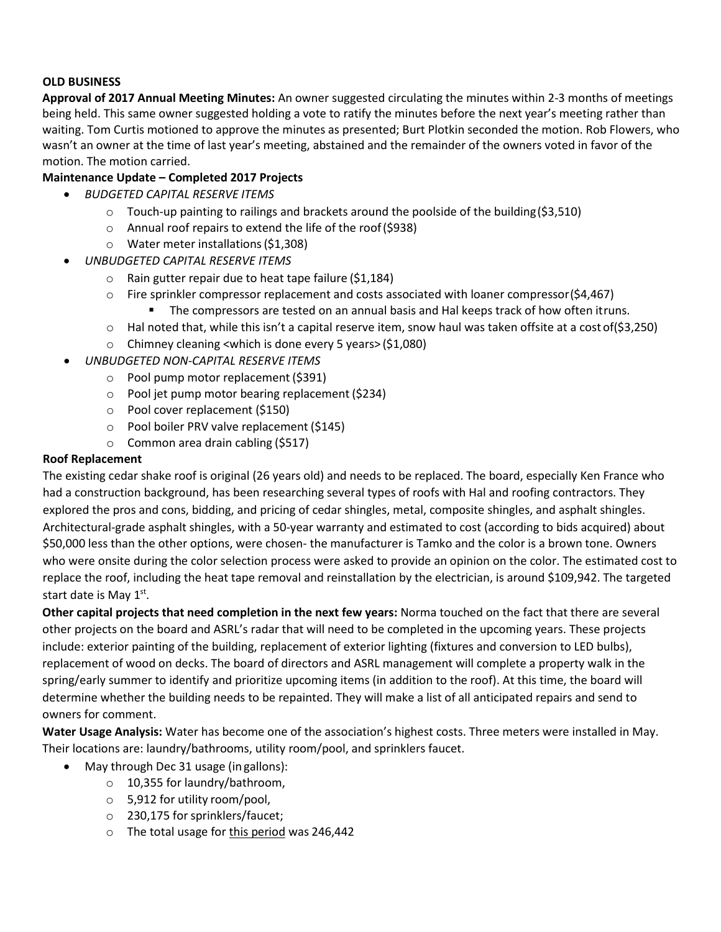### **OLD BUSINESS**

**Approval of 2017 Annual Meeting Minutes:** An owner suggested circulating the minutes within 2-3 months of meetings being held. This same owner suggested holding a vote to ratify the minutes before the next year's meeting rather than waiting. Tom Curtis motioned to approve the minutes as presented; Burt Plotkin seconded the motion. Rob Flowers, who wasn't an owner at the time of last year's meeting, abstained and the remainder of the owners voted in favor of the motion. The motion carried.

## **Maintenance Update – Completed 2017 Projects**

- *BUDGETED CAPITAL RESERVE ITEMS*
	- $\circ$  Touch-up painting to railings and brackets around the poolside of the building (\$3,510)
	- o Annual roof repairs to extend the life of the roof(\$938)
	- o Water meter installations(\$1,308)
	- *UNBUDGETED CAPITAL RESERVE ITEMS*
		- o Rain gutter repair due to heat tape failure (\$1,184)
		- $\circ$  Fire sprinkler compressor replacement and costs associated with loaner compressor(\$4,467) The compressors are tested on an annual basis and Hal keeps track of how often itruns.
		- $\circ$  Hal noted that, while this isn't a capital reserve item, snow haul was taken offsite at a cost of(\$3,250)
		- o Chimney cleaning <which is done every 5 years> (\$1,080)
- *UNBUDGETED NON-CAPITAL RESERVE ITEMS*
	- o Pool pump motor replacement (\$391)
	- o Pool jet pump motor bearing replacement (\$234)
	- o Pool cover replacement (\$150)
	- o Pool boiler PRV valve replacement (\$145)
	- o Common area drain cabling (\$517)

#### **Roof Replacement**

The existing cedar shake roof is original (26 years old) and needs to be replaced. The board, especially Ken France who had a construction background, has been researching several types of roofs with Hal and roofing contractors. They explored the pros and cons, bidding, and pricing of cedar shingles, metal, composite shingles, and asphalt shingles. Architectural-grade asphalt shingles, with a 50-year warranty and estimated to cost (according to bids acquired) about \$50,000 less than the other options, were chosen- the manufacturer is Tamko and the color is a brown tone. Owners who were onsite during the color selection process were asked to provide an opinion on the color. The estimated cost to replace the roof, including the heat tape removal and reinstallation by the electrician, is around \$109,942. The targeted start date is May 1<sup>st</sup>.

**Other capital projects that need completion in the next few years:** Norma touched on the fact that there are several other projects on the board and ASRL's radar that will need to be completed in the upcoming years. These projects include: exterior painting of the building, replacement of exterior lighting (fixtures and conversion to LED bulbs), replacement of wood on decks. The board of directors and ASRL management will complete a property walk in the spring/early summer to identify and prioritize upcoming items (in addition to the roof). At this time, the board will determine whether the building needs to be repainted. They will make a list of all anticipated repairs and send to owners for comment.

**Water Usage Analysis:** Water has become one of the association's highest costs. Three meters were installed in May. Their locations are: laundry/bathrooms, utility room/pool, and sprinklers faucet.

- May through Dec 31 usage (in gallons):
	- o 10,355 for laundry/bathroom,
	- o 5,912 for utility room/pool,
	- o 230,175 forsprinklers/faucet;
	- o The total usage for this period was 246,442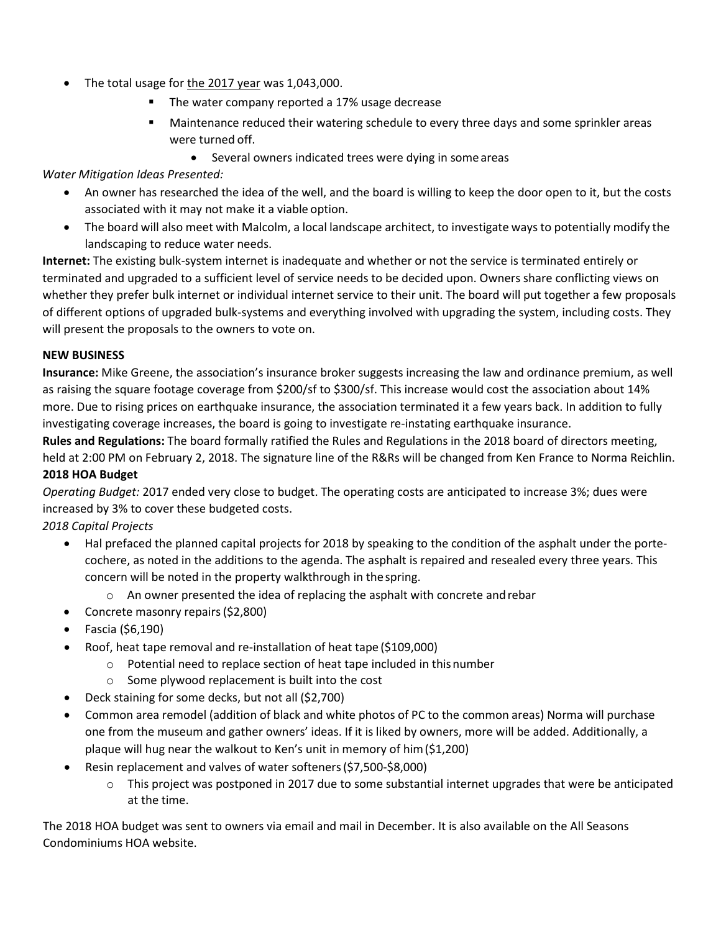- The total usage for the 2017 year was 1,043,000.
	- **The water company reported a 17% usage decrease**
	- **Maintenance reduced their watering schedule to every three days and some sprinkler areas** were turned off.
		- Several owners indicated trees were dying in some areas

# *Water Mitigation Ideas Presented:*

- An owner has researched the idea of the well, and the board is willing to keep the door open to it, but the costs associated with it may not make it a viable option.
- The board will also meet with Malcolm, a local landscape architect, to investigate ways to potentially modify the landscaping to reduce water needs.

**Internet:** The existing bulk-system internet is inadequate and whether or not the service is terminated entirely or terminated and upgraded to a sufficient level of service needs to be decided upon. Owners share conflicting views on whether they prefer bulk internet or individual internet service to their unit. The board will put together a few proposals of different options of upgraded bulk-systems and everything involved with upgrading the system, including costs. They will present the proposals to the owners to vote on.

### **NEW BUSINESS**

**Insurance:** Mike Greene, the association's insurance broker suggests increasing the law and ordinance premium, as well as raising the square footage coverage from \$200/sf to \$300/sf. This increase would cost the association about 14% more. Due to rising prices on earthquake insurance, the association terminated it a few years back. In addition to fully investigating coverage increases, the board is going to investigate re-instating earthquake insurance.

**Rules and Regulations:** The board formally ratified the Rules and Regulations in the 2018 board of directors meeting, held at 2:00 PM on February 2, 2018. The signature line of the R&Rs will be changed from Ken France to Norma Reichlin.

## **2018 HOA Budget**

*Operating Budget:* 2017 ended very close to budget. The operating costs are anticipated to increase 3%; dues were increased by 3% to cover these budgeted costs.

## *2018 Capital Projects*

- Hal prefaced the planned capital projects for 2018 by speaking to the condition of the asphalt under the portecochere, as noted in the additions to the agenda. The asphalt is repaired and resealed every three years. This concern will be noted in the property walkthrough in thespring.
	- o An owner presented the idea of replacing the asphalt with concrete andrebar
- Concrete masonry repairs(\$2,800)
- Fascia (\$6,190)
- Roof, heat tape removal and re-installation of heat tape (\$109,000)
	- o Potential need to replace section of heat tape included in thisnumber
	- o Some plywood replacement is built into the cost
- Deck staining for some decks, but not all (\$2,700)
- Common area remodel (addition of black and white photos of PC to the common areas) Norma will purchase one from the museum and gather owners' ideas. If it is liked by owners, more will be added. Additionally, a plaque will hug near the walkout to Ken's unit in memory of him(\$1,200)
- Resin replacement and valves of water softeners(\$7,500-\$8,000)
	- $\circ$  This project was postponed in 2017 due to some substantial internet upgrades that were be anticipated at the time.

The 2018 HOA budget was sent to owners via email and mail in December. It is also available on the All Seasons Condominiums HOA website.